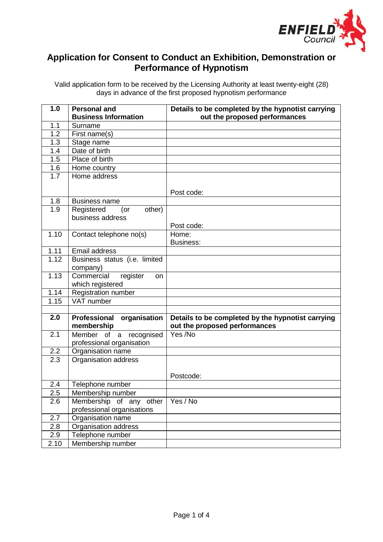

## **Application for Consent to Conduct an Exhibition, Demonstration or Performance of Hypnotism**

Valid application form to be received by the Licensing Authority at least twenty-eight (28) days in advance of the first proposed hypnotism performance

| 1.0              | Personal and                        | Details to be completed by the hypnotist carrying |
|------------------|-------------------------------------|---------------------------------------------------|
|                  | <b>Business Information</b>         | out the proposed performances                     |
| 1.1              | Surname                             |                                                   |
| $\overline{1.2}$ | First name(s)                       |                                                   |
| 1.3              | Stage name                          |                                                   |
| 1.4              | Date of birth                       |                                                   |
| 1.5              | Place of birth                      |                                                   |
| 1.6              | Home country                        |                                                   |
| 1.7              | Home address                        |                                                   |
|                  |                                     |                                                   |
|                  |                                     | Post code:                                        |
| 1.8              | <b>Business name</b>                |                                                   |
| 1.9              | Registered<br>other)<br>(or         |                                                   |
|                  | business address                    |                                                   |
|                  |                                     | Post code:                                        |
| 1.10             | Contact telephone no(s)             | Home:                                             |
|                  |                                     | <b>Business:</b>                                  |
| 1.11             | Email address                       |                                                   |
| 1.12             | Business status (i.e. limited       |                                                   |
|                  | company)                            |                                                   |
| 1.13             | Commercial<br>register<br><b>on</b> |                                                   |
| 1.14             | which registered                    |                                                   |
| 1.15             | Registration number<br>VAT number   |                                                   |
|                  |                                     |                                                   |
| 2.0              | Professional organisation           | Details to be completed by the hypnotist carrying |
|                  | membership                          | out the proposed performances                     |
| 2.1              | Member of a recognised              | Yes /No                                           |
|                  | professional organisation           |                                                   |
| 2.2              | Organisation name                   |                                                   |
| 2.3              | Organisation address                |                                                   |
|                  |                                     |                                                   |
|                  |                                     | Postcode:                                         |
| 2.4              | Telephone number                    |                                                   |
| 2.5              | Membership number                   |                                                   |
| 2.6              | Membership of any other             | Yes / No                                          |
|                  | professional organisations          |                                                   |
| 2.7              | Organisation name                   |                                                   |
| 2.8              | Organisation address                |                                                   |
| 2.9              | Telephone number                    |                                                   |
| 2.10             | Membership number                   |                                                   |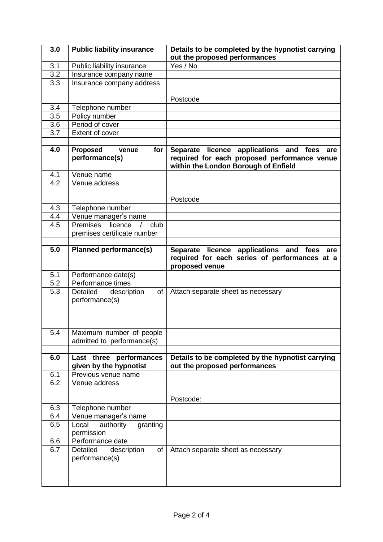| 3.0              | <b>Public liability insurance</b>                 | Details to be completed by the hypnotist carrying<br>out the proposed performances                                                 |
|------------------|---------------------------------------------------|------------------------------------------------------------------------------------------------------------------------------------|
| 3.1              | Public liability insurance                        | Yes / No                                                                                                                           |
| 3.2              | Insurance company name                            |                                                                                                                                    |
| 3.3              | Insurance company address                         |                                                                                                                                    |
|                  |                                                   | Postcode                                                                                                                           |
| 3.4              | Telephone number                                  |                                                                                                                                    |
| $\overline{3.5}$ | Policy number                                     |                                                                                                                                    |
| 3.6              | Period of cover                                   |                                                                                                                                    |
| 3.7              | Extent of cover                                   |                                                                                                                                    |
|                  |                                                   |                                                                                                                                    |
| 4.0              | <b>Proposed</b><br>venue<br>for<br>performance(s) | Separate licence applications and fees are<br>required for each proposed performance venue<br>within the London Borough of Enfield |
| 4.1              | Venue name                                        |                                                                                                                                    |
| 4.2              | Venue address                                     |                                                                                                                                    |
|                  |                                                   |                                                                                                                                    |
|                  |                                                   | Postcode                                                                                                                           |
| 4.3              | Telephone number                                  |                                                                                                                                    |
| 4.4              | Venue manager's name                              |                                                                                                                                    |
| 4.5              | Premises<br>licence<br>club<br>$\sqrt{2}$         |                                                                                                                                    |
|                  | premises certificate number                       |                                                                                                                                    |
| 5.0              | <b>Planned performance(s)</b>                     | Separate licence applications and fees are<br>required for each series of performances at a<br>proposed venue                      |
| 5.1              | Performance date(s)                               |                                                                                                                                    |
| $\overline{5.2}$ | Performance times                                 |                                                                                                                                    |
| 5.3              | Detailed<br>of<br>description<br>performance(s)   | Attach separate sheet as necessary                                                                                                 |
| 5.4              | Maximum number of people                          |                                                                                                                                    |
|                  | admitted to performance(s)                        |                                                                                                                                    |
|                  |                                                   |                                                                                                                                    |
| 6.0              | Last three performances<br>given by the hypnotist | Details to be completed by the hypnotist carrying<br>out the proposed performances                                                 |
| 6.1              | Previous venue name                               |                                                                                                                                    |
| 6.2              | Venue address                                     |                                                                                                                                    |
|                  |                                                   |                                                                                                                                    |
|                  |                                                   | Postcode:                                                                                                                          |
| 6.3<br>6.4       | Telephone number<br>Venue manager's name          |                                                                                                                                    |
| 6.5              | authority<br>Local<br>granting                    |                                                                                                                                    |
|                  | permission                                        |                                                                                                                                    |
| 6.6              | Performance date                                  |                                                                                                                                    |
| 6.7              | Detailed<br>of<br>description<br>performance(s)   | Attach separate sheet as necessary                                                                                                 |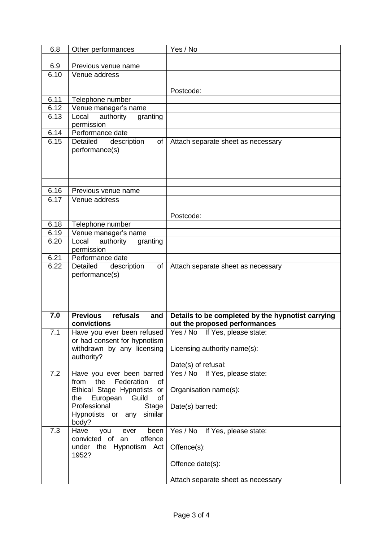| 6.8               | Other performances                                        | Yes / No                                              |
|-------------------|-----------------------------------------------------------|-------------------------------------------------------|
|                   |                                                           |                                                       |
| 6.9               | Previous venue name                                       |                                                       |
| 6.10              | Venue address                                             |                                                       |
|                   |                                                           |                                                       |
|                   |                                                           | Postcode:                                             |
| 6.11              | Telephone number                                          |                                                       |
| 6.12              | Venue manager's name                                      |                                                       |
| 6.13              | Local <sup>-</sup><br>authority<br>granting<br>permission |                                                       |
| 6.14              | Performance date                                          |                                                       |
| 6.15              | Detailed<br>of<br>description<br>performance(s)           | Attach separate sheet as necessary                    |
| 6.16              |                                                           |                                                       |
| 6.17              | Previous venue name<br>Venue address                      |                                                       |
|                   |                                                           |                                                       |
|                   |                                                           | Postcode:                                             |
| 6.18              | Telephone number                                          |                                                       |
| 6.19              | Venue manager's name                                      |                                                       |
| 6.20              | Local<br>authority<br>granting                            |                                                       |
|                   | permission                                                |                                                       |
| $\overline{6.21}$ | Performance date                                          |                                                       |
| 6.22              | Detailed<br>description<br>of I<br>performance(s)         | Attach separate sheet as necessary                    |
| 7.0               | <b>Previous</b><br>refusals<br>and                        | Details to be completed by the hypnotist carrying     |
|                   | convictions                                               | out the proposed performances                         |
| 7.1               | Have you ever been refused                                | Yes / No If Yes, please state:                        |
|                   | or had consent for hypnotism                              |                                                       |
|                   | withdrawn by any licensing                                | Licensing authority name(s):                          |
|                   | authority?                                                |                                                       |
| 7.2               | Have you ever been barred                                 | Date(s) of refusal:<br>Yes / No If Yes, please state: |
|                   | Federation<br>from<br>the<br>οf                           |                                                       |
|                   | Ethical Stage Hypnotists or                               | Organisation name(s):                                 |
|                   | European Guild<br>of<br>the                               |                                                       |
|                   | Professional<br>Stage                                     | Date(s) barred:                                       |
|                   | Hypnotists or any similar                                 |                                                       |
|                   | body?                                                     |                                                       |
| 7.3               | Have<br>ever<br>been<br>you                               | Yes / No If Yes, please state:                        |
|                   | convicted of an<br>offence<br>under the Hypnotism Act     | Offence(s):                                           |
|                   | 1952?                                                     |                                                       |
|                   |                                                           | Offence date(s):                                      |
|                   |                                                           | Attach separate sheet as necessary                    |